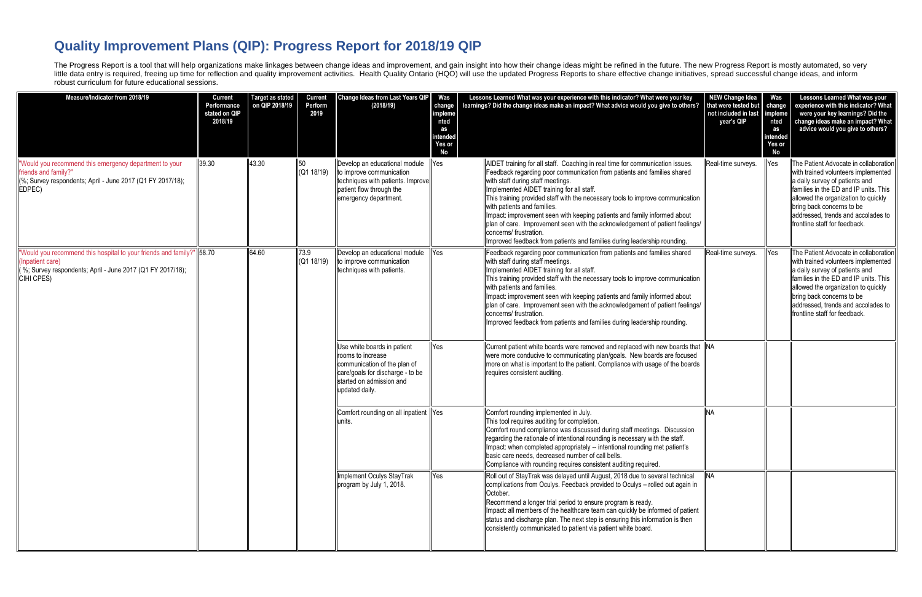## **Quality Improvement Plans (QIP): Progress Report for 2018/19 QIP**

The Progress Report is a tool that will help organizations make linkages between change ideas and improvement, and gain insight into how their change ideas might be refined in the future. The new Progress Report is mostly little data entry is required, freeing up time for reflection and quality improvement activities. Health Quality Ontario (HQO) will use the updated Progress Reports to share effective change initiatives, spread successful robust curriculum for future educational sessions.

| Measure/Indicator from 2018/19                                                                                                                                                          | <b>Current</b><br>Performance<br>stated on QIP<br>2018/19 | <b>Target as stated</b><br>on QIP 2018/19 | <b>Current</b><br>Perform<br>2019 | Change Ideas from Last Years QIP<br>(2018/19)                                                                                                                                   | Was<br>change<br>impleme<br>nted<br>as<br>intended<br>Yes or<br><b>No</b> | Lessons Learned What was your experience with this indicator? What were your key<br>learnings? Did the change ideas make an impact? What advice would you give to others?                                                                                                                                                                                                                                                                                                                                                                                                                                                     | <b>NEW Change Idea</b><br>that were tested but<br>not included in last impleme<br>year's QIP | Was<br>change<br>nted<br>as<br>intended<br>Yes or<br>No | Lessons Learned What was your<br>experience with this indicator? What<br>were your key learnings? Did the<br>change ideas make an impact? What<br>advice would you give to others?                                                                                                                 |
|-----------------------------------------------------------------------------------------------------------------------------------------------------------------------------------------|-----------------------------------------------------------|-------------------------------------------|-----------------------------------|---------------------------------------------------------------------------------------------------------------------------------------------------------------------------------|---------------------------------------------------------------------------|-------------------------------------------------------------------------------------------------------------------------------------------------------------------------------------------------------------------------------------------------------------------------------------------------------------------------------------------------------------------------------------------------------------------------------------------------------------------------------------------------------------------------------------------------------------------------------------------------------------------------------|----------------------------------------------------------------------------------------------|---------------------------------------------------------|----------------------------------------------------------------------------------------------------------------------------------------------------------------------------------------------------------------------------------------------------------------------------------------------------|
| "Would you recommend this emergency department to your<br>friends and family?"<br>$\left  \frac{1}{2}$ Survey respondents; April - June 2017 (Q1 FY 2017/18);<br>EDPEC)                 | 39.30                                                     | 43.30                                     | 50                                | Develop an educational module<br>$\left  (Q1 18/19) \right $ to improve communication<br>techniques with patients. Improve<br>patient flow through the<br>emergency department. | Yes                                                                       | AIDET training for all staff. Coaching in real time for communication issues.<br>Feedback regarding poor communication from patients and families shared<br>with staff during staff meetings.<br>Implemented AIDET training for all staff.<br>This training provided staff with the necessary tools to improve communication<br>with patients and families.<br>Impact: improvement seen with keeping patients and family informed about<br>plan of care. Improvement seen with the acknowledgement of patient feelings/<br>concerns/ frustration.<br>Improved feedback from patients and families during leadership rounding. | Real-time surveys.                                                                           | Yes                                                     | The Patient Advocate in collaboration<br>with trained volunteers implemented<br>a daily survey of patients and<br>families in the ED and IP units. This<br>allowed the organization to quickly<br>bring back concerns to be<br>addressed, trends and accolades to<br>frontline staff for feedback. |
| "Would you recommend this hospital to your friends and family?"   58.70<br>(Inpatient care)<br>$\left  \right $ %; Survey respondents; April - June 2017 (Q1 FY 2017/18);<br>CIHI CPES) |                                                           | 64.60                                     | 73.9                              | Develop an educational module<br>$\left  (Q1 18/19) \right $ to improve communication<br>techniques with patients.                                                              | Yes                                                                       | Feedback regarding poor communication from patients and families shared<br>with staff during staff meetings.<br>Implemented AIDET training for all staff.<br>This training provided staff with the necessary tools to improve communication<br>I with patients and families.<br>Impact: improvement seen with keeping patients and family informed about<br>plan of care. Improvement seen with the acknowledgement of patient feelings/<br>concerns/ frustration.<br>Improved feedback from patients and families during leadership rounding.                                                                                | Real-time surveys.                                                                           | Yes                                                     | The Patient Advocate in collaboration<br>with trained volunteers implemented<br>a daily survey of patients and<br>families in the ED and IP units. This<br>allowed the organization to quickly<br>bring back concerns to be<br>addressed, trends and accolades to<br>frontline staff for feedback. |
|                                                                                                                                                                                         |                                                           |                                           |                                   | Use white boards in patient<br>rooms to increase<br>communication of the plan of<br>care/goals for discharge - to be<br>started on admission and<br>updated daily.              | Yes                                                                       | Current patient white boards were removed and replaced with new boards that   NA<br>were more conducive to communicating plan/goals. New boards are focused<br>more on what is important to the patient. Compliance with usage of the boards<br>requires consistent auditing.                                                                                                                                                                                                                                                                                                                                                 |                                                                                              |                                                         |                                                                                                                                                                                                                                                                                                    |
|                                                                                                                                                                                         |                                                           |                                           |                                   | Comfort rounding on all inpatient Yes<br>units.                                                                                                                                 |                                                                           | Comfort rounding implemented in July.<br>This tool requires auditing for completion.<br>Comfort round compliance was discussed during staff meetings. Discussion<br>regarding the rationale of intentional rounding is necessary with the staff.<br>Impact: when completed appropriately -- intentional rounding met patient's<br>basic care needs, decreased number of call bells.<br>Compliance with rounding requires consistent auditing required.                                                                                                                                                                        |                                                                                              |                                                         |                                                                                                                                                                                                                                                                                                    |
|                                                                                                                                                                                         |                                                           |                                           |                                   | Implement Oculys StayTrak<br>program by July 1, 2018.                                                                                                                           | Yes                                                                       | Roll out of StayTrak was delayed until August, 2018 due to several technical<br>complications from Oculys. Feedback provided to Oculys - rolled out again in<br>October.<br>Recommend a longer trial period to ensure program is ready.<br>Impact: all members of the healthcare team can quickly be informed of patient<br>status and discharge plan. The next step is ensuring this information is then<br>consistently communicated to patient via patient white board.                                                                                                                                                    |                                                                                              |                                                         |                                                                                                                                                                                                                                                                                                    |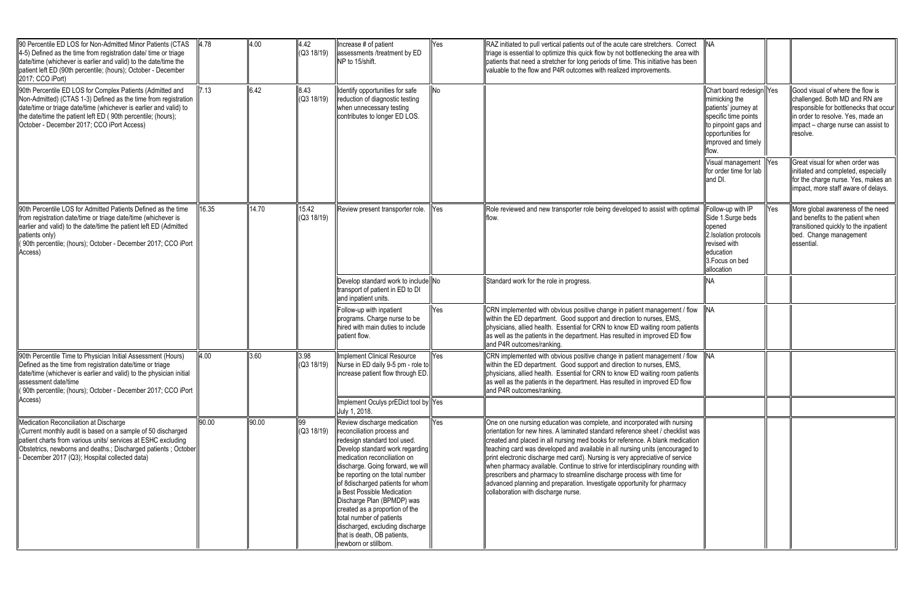| 90 Percentile ED LOS for Non-Admitted Minor Patients (CTAS<br>$\parallel$ 4-5) Defined as the time from registration date/ time or triage<br>date/time (whichever is earlier and valid) to the date/time the<br>patient left ED (90th percentile; (hours); October - December<br>2017; CCO iPort)              | 4.78  | 4.00  | 4.42<br>(Q3 18/19)  | Increase # of patient<br>assessments /treatment by ED<br>NP to 15/shift.                                                                                                                                                                                                                                                                                                                                                                                                                                                                    | Yes | RAZ initiated to pull vertical patients out of the acute care stretchers. Correct<br>triage is essential to optimize this quick flow by not bottlenecking the area with<br>patients that need a stretcher for long periods of time. This initiative has been<br>valuable to the flow and P4R outcomes with realized improvements.                                                                                                                                                                                                                                                                                                                                                              | <b>INA</b>                                                                                                                                                    |     |                                                                                                                                                                                                      |
|----------------------------------------------------------------------------------------------------------------------------------------------------------------------------------------------------------------------------------------------------------------------------------------------------------------|-------|-------|---------------------|---------------------------------------------------------------------------------------------------------------------------------------------------------------------------------------------------------------------------------------------------------------------------------------------------------------------------------------------------------------------------------------------------------------------------------------------------------------------------------------------------------------------------------------------|-----|------------------------------------------------------------------------------------------------------------------------------------------------------------------------------------------------------------------------------------------------------------------------------------------------------------------------------------------------------------------------------------------------------------------------------------------------------------------------------------------------------------------------------------------------------------------------------------------------------------------------------------------------------------------------------------------------|---------------------------------------------------------------------------------------------------------------------------------------------------------------|-----|------------------------------------------------------------------------------------------------------------------------------------------------------------------------------------------------------|
| 90th Percentile ED LOS for Complex Patients (Admitted and<br>Non-Admitted) (CTAS 1-3) Defined as the time from registration<br>date/time or triage date/time (whichever is earlier and valid) to<br>the date/time the patient left ED (90th percentile; (hours);<br>October - December 2017; CCO iPort Access) | 7.13  | 6.42  | 8.43<br>(Q3 18/19)  | Identify opportunities for safe<br>reduction of diagnostic testing<br>when unnecessary testing<br>contributes to longer ED LOS.                                                                                                                                                                                                                                                                                                                                                                                                             |     |                                                                                                                                                                                                                                                                                                                                                                                                                                                                                                                                                                                                                                                                                                | Chart board redesign Yes<br>mimicking the<br>patients' journey at<br>specific time points<br>to pinpoint gaps and<br>opportunities for<br>improved and timely |     | Good visual of where the flow is<br>challenged. Both MD and RN are<br>responsible for bottlenecks that occur<br>in order to resolve. Yes, made an<br>impact – charge nurse can assist to<br>resolve. |
|                                                                                                                                                                                                                                                                                                                |       |       |                     |                                                                                                                                                                                                                                                                                                                                                                                                                                                                                                                                             |     |                                                                                                                                                                                                                                                                                                                                                                                                                                                                                                                                                                                                                                                                                                | Visual management  Yes<br>for order time for lab<br>and DI.                                                                                                   |     | Great visual for when order was<br>initiated and completed, especially<br>for the charge nurse. Yes, makes an<br>impact, more staff aware of delays.                                                 |
| ll90th Percentile LOS for Admitted Patients Defined as the time<br>from registration date/time or triage date/time (whichever is<br>earlier and valid) to the date/time the patient left ED (Admitted<br>(patients only)<br>90th percentile; (hours); October - December 2017; CCO iPort<br>Access)            | 16.35 | 14.70 | 15.42<br>(Q3 18/19) | Review present transporter role.                                                                                                                                                                                                                                                                                                                                                                                                                                                                                                            | Yes | Role reviewed and new transporter role being developed to assist with optimal<br><b>Itlow</b>                                                                                                                                                                                                                                                                                                                                                                                                                                                                                                                                                                                                  | Follow-up with IP<br>Side 1.Surge beds<br>lopened<br>2. Isolation protocols<br>revised with<br>leducation<br>3. Focus on bed<br>allocation                    | Yes | More global awareness of the need<br>and benefits to the patient when<br>transitioned quickly to the inpatient<br>bed. Change management<br>essential.                                               |
|                                                                                                                                                                                                                                                                                                                |       |       |                     | Develop standard work to include No<br>transport of patient in ED to DI<br>and inpatient units.                                                                                                                                                                                                                                                                                                                                                                                                                                             |     | Standard work for the role in progress.                                                                                                                                                                                                                                                                                                                                                                                                                                                                                                                                                                                                                                                        | NA                                                                                                                                                            |     |                                                                                                                                                                                                      |
|                                                                                                                                                                                                                                                                                                                |       |       |                     | Follow-up with inpatient<br>programs. Charge nurse to be<br>Inired with main duties to include<br>patient flow.                                                                                                                                                                                                                                                                                                                                                                                                                             | Yes | CRN implemented with obvious positive change in patient management / flow<br>within the ED department. Good support and direction to nurses, EMS,<br>physicians, allied health. Essential for CRN to know ED waiting room patients<br>as well as the patients in the department. Has resulted in improved ED flow<br>land P4R outcomes/ranking.                                                                                                                                                                                                                                                                                                                                                | <b>NA</b>                                                                                                                                                     |     |                                                                                                                                                                                                      |
| 90th Percentile Time to Physician Initial Assessment (Hours)<br>Defined as the time from registration date/time or triage<br>date/time (whichever is earlier and valid) to the physician initial<br>assessment date/time<br>  (90th percentile; (hours); October - December 2017; CCO iPort<br>Access)         | 4.00  | 3.60  | 3.98<br>(Q3 18/19)  | Implement Clinical Resource<br>Nurse in ED daily 9-5 pm - role to<br>increase patient flow through ED                                                                                                                                                                                                                                                                                                                                                                                                                                       | Yes | CRN implemented with obvious positive change in patient management / flow<br>within the ED department. Good support and direction to nurses, EMS,<br>physicians, allied health. Essential for CRN to know ED waiting room patients<br>as well as the patients in the department. Has resulted in improved ED flow<br>and P4R outcomes/ranking.                                                                                                                                                                                                                                                                                                                                                 | <b>NA</b>                                                                                                                                                     |     |                                                                                                                                                                                                      |
|                                                                                                                                                                                                                                                                                                                |       |       |                     | Implement Oculys prEDict tool by Yes<br>July 1, 2018.                                                                                                                                                                                                                                                                                                                                                                                                                                                                                       |     |                                                                                                                                                                                                                                                                                                                                                                                                                                                                                                                                                                                                                                                                                                |                                                                                                                                                               |     |                                                                                                                                                                                                      |
| Medication Reconciliation at Discharge<br>Current monthly audit is based on a sample of 50 discharged<br>patient charts from various units/ services at ESHC excluding<br>Obstetrics, newborns and deaths.; Discharged patients; October<br>December 2017 (Q3); Hospital collected data)                       | 90.00 | 90.00 | 99                  | Review discharge medication<br>$\left  \right $ (Q3 18/19) $\left  \right $ reconciliation process and<br>redesign standard tool used.<br>Develop standard work regarding<br>medication reconciliation on<br>discharge. Going forward, we will<br>be reporting on the total number<br>of 8discharged patients for whom<br>a Best Possible Medication<br>Discharge Plan (BPMDP) was<br>created as a proportion of the<br>total number of patients<br>discharged, excluding discharge<br>that is death, OB patients,<br>newborn or stillborn. | Yes | One on one nursing education was complete, and incorporated with nursing<br>lorientation for new hires. A laminated standard reference sheet / checklist was<br>created and placed in all nursing med books for reference. A blank medication<br>teaching card was developed and available in all nursing units (encouraged to<br>print electronic discharge med card). Nursing is very appreciative of service<br>when pharmacy available. Continue to strive for interdisciplinary rounding with<br>prescribers and pharmacy to streamline discharge process with time for<br>advanced planning and preparation. Investigate opportunity for pharmacy<br>collaboration with discharge nurse. |                                                                                                                                                               |     |                                                                                                                                                                                                      |